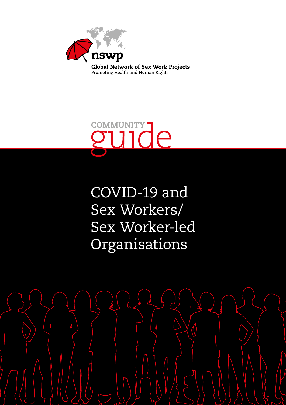

Promoting Health and Human Rights



COVID-19 and Sex Workers/ Sex Worker-led Organisations

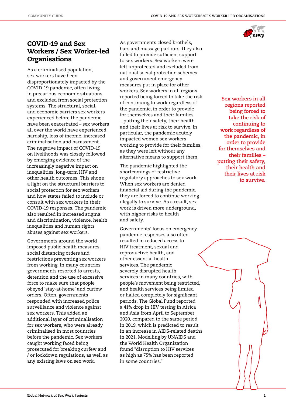

## COVID-19 and Sex Workers / Sex Worker-led **Organisations**

As a criminalised population, sex workers have been disproportionately impacted by the COVID-19 pandemic, often living in precarious economic situations and excluded from social protection systems. The structural, social, and economic barriers sex workers experienced before the pandemic have been exacerbated – sex workers all over the world have experienced hardship, loss of income, increased criminalisation and harassment. The negative impact of COVID-19 on livelihoods was closely followed by emerging evidence of the increasingly negative impact on inequalities, long-term HIV and other health outcomes. This shone a light on the structural barriers to social protection for sex workers and how states failed to include or consult with sex workers in their COVID-19 responses. The pandemic also resulted in increased stigma and discrimination, violence, health inequalities and human rights abuses against sex workers.

Governments around the world imposed public health measures, social distancing orders and restrictions preventing sex workers from working. In many countries, governments resorted to arrests, detention and the use of excessive force to make sure that people obeyed 'stay-at-home' and curfew orders. Often, governments responded with increased police surveillance and violence against sex workers. This added an additional layer of criminalisation for sex workers, who were already criminalised in most countries before the pandemic. Sex workers caught working faced being prosecuted for breaking curfew and / or lockdown regulations, as well as any existing laws on sex work.

As governments closed brothels, bars and massage parlours, they also failed to provide sufficient support to sex workers. Sex workers were left unprotected and excluded from national social protection schemes and government emergency measures put in place for other workers. Sex workers in all regions reported being forced to take the risk of continuing to work regardless of the pandemic, in order to provide for themselves and their families – putting their safety, their health and their lives at risk to survive. In particular, the pandemic acutely impacted women sex workers working to provide for their families, as they were left without any alternative means to support them.

The pandemic highlighted the shortcomings of restrictive regulatory approaches to sex work. When sex workers are denied financial aid during the pandemic, they are forced to continue working illegally to survive. As a result, sex work is driven more underground, with higher risks to health and safety.

Governments' focus on emergency pandemic responses also often resulted in reduced access to HIV treatment, sexual and reproductive health, and other essential health services. The pandemic severely disrupted health services in many countries, with people's movement being restricted, and health services being limited or halted completely for significant periods. The Global Fund reported a 41% drop in HIV testing in Africa and Asia from April to September 2020, compared to the same period in 2019, which is predicted to result in an increase in AIDS-related deaths in 2021. Modelling by UNAIDS and the World Health Organization found "disruption to HIV services as high as 75% has been reported in some countries."

**Sex workers in all regions reported being forced to take the risk of continuing to work regardless of the pandemic, in order to provide for themselves and their families – putting their safety, their health and their lives at risk to survive.**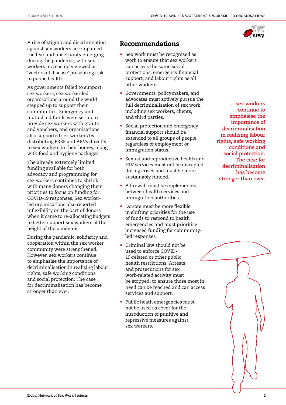

A rise of stigma and discrimination against sex workers accompanied the fear and uncertainty emerging during the pandemic, with sex workers increasingly viewed as 'vectors of disease' presenting risk to public health.

As governments failed to support sex workers, sex worker-led organisations around the world stepped up to support their communities. Emergency and mutual aid funds were set up to provide sex workers with grants and vouchers, and organisations also supported sex workers by distributing PREP and ARVs directly to sex workers in their homes, along with food and hygiene packages.

The already extremely limited funding available for both advocacy and programming for sex workers continues to shrink, with many donors changing their priorities to focus on funding for COVID-19 responses. Sex workerled organisations also reported inflexibility on the part of donors when it came to re-allocating budgets to better support sex workers at the height of the pandemic.

During the pandemic, solidarity and cooperation within the sex worker community were strengthened. However, sex workers continue to emphasise the importance of decriminalisation in realising labour rights, safe working conditions and social protection. The case for decriminalisation has become stronger than ever.

## Recommendations

- Sex work must be recognised as work to ensure that sex workers can access the same social protections, emergency financial support, and labour rights as all other workers.
- Governments, policymakers, and advocates must actively pursue the full decriminalisation of sex work, including sex workers, clients, and third parties.
- Social protection and emergency financial support should be extended to all groups of people, regardless of employment or immigration status.
- Sexual and reproductive health and HIV services must not be disrupted during crises and must be more sustainably funded.
- A firewall must be implemented between health services and immigration authorities.
- Donors must be more flexible in shifting priorities for the use of funds to respond to health emergencies and must prioritise increased funding for communityled responses.
- Criminal law should not be used to enforce COVID-19-related or other public health restrictions. Arrests and prosecutions for sex work-related activity must be stopped, to ensure those most in need can be reached and can access services and support.
- Public heath emergencies must not be used as cover for the introduction of punitive and repressive measures against sex workers.

**…sex workers continue to emphasise the importance of decriminalisation in realising labour rights, safe working conditions and social protection. The case for decriminalisation has become stronger than ever.**

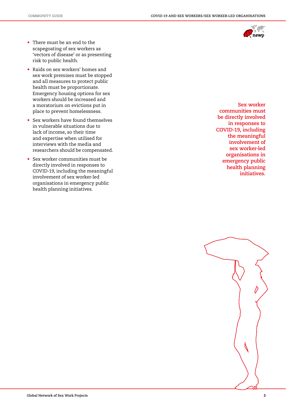

- There must be an end to the scapegoating of sex workers as 'vectors of disease' or as presenting risk to public health.
- Raids on sex workers' homes and sex work premises must be stopped and all measures to protect public health must be proportionate. Emergency housing options for sex workers should be increased and a moratorium on evictions put in place to prevent homelessness.
- Sex workers have found themselves in vulnerable situations due to lack of income, so their time and expertise when utilised for interviews with the media and researchers should be compensated.
- Sex worker communities must be directly involved in responses to COVID-19, including the meaningful involvement of sex worker-led organisations in emergency public health planning initiatives.

**Sex worker communities must be directly involved in responses to COVID-19, including the meaningful involvement of sex worker-led organisations in emergency public health planning initiatives.**